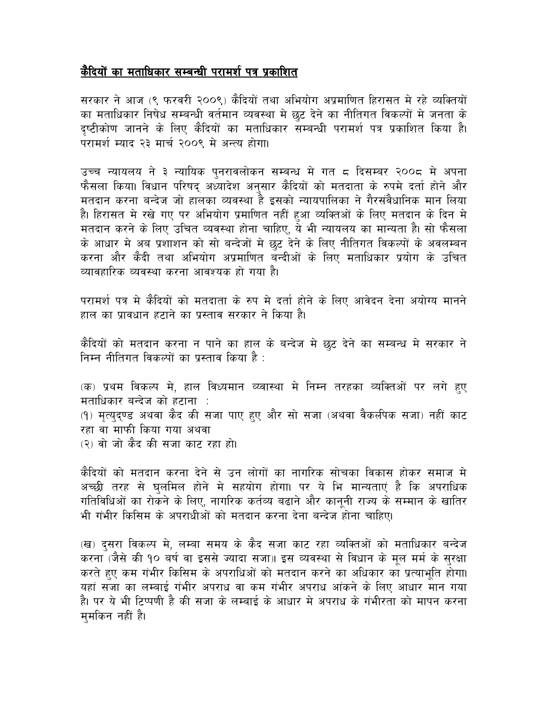## कैदियों का मताधिकार सम्बन्धी परामर्श पत्र प्रकाशित

सरकार ने आज (९ फरवरी २००९) कैदियों तथा अभियोग अप्रमाणित हिरासत मे रहे व्यक्तियों का मताधिकार निषेध सम्बन्धी वर्तमान व्यवस्था मे छट देने का नीतिगत विकल्पों मे जनता के दष्टीकोण जानने के लिए कैदियों का मताधिकार सम्बन्धी परामर्श पत्र प्रकाशित किया है। परामर्श म्याद २३ मार्च २००९ मे अन्त्य होगा।

उच्च न्यायलय ने ३ न्यायिक पनरावलोकन सम्बन्ध मे गत ८ दिसम्बर २००८ मे अपना फैसला किया। विधान परिषद् अध्यादेश अनुसार कैदियों को मतदाता के रुपमे दर्ता होने और मतदान करना बन्देज जो हालका व्यवस्था है इसको न्यायपालिका ने गैरसंवैधानिक मान लिया है। हिरासत मे रखे गए पर अभियोग प्रमाणित नहीं हुआ व्यक्तिओं के लिए मतदान के दिन मे मतदान करने के लिए उचित व्यवस्था होना चाहिए, ये भी न्यायलय का मान्यता है। सो फैसला के आधार मे अब प्रशाशन को सो बन्देजों मे छूट देने के लिए नीतिगत विकल्पों के अवलम्बन करना और कैदी तथा अभियोग अप्रमाणित बन्दीओं के लिए मताधिकार प्रयोग के उचित व्यावहारिक व्यवस्था करना आवश्यक हो गया है।

परामर्श पत्र मे कैदियों को मतदाता के रुप मे दर्ता होने के लिए आवेदन देना अयोग्य मानने हाल का प्रावधान हटाने का प्रस्ताव सरकार ने किया है।

कैंदियों को मतदान करना न पाने का हाल के बन्देज मे छुट देने का सम्बन्ध मे सरकार ने निम्न नीतिगत विकल्पों का प्रस्ताव किया है :

(क) प्रथम विकल्प मे, हाल विध्यमान व्य्वास्था मे निम्न तरहका व्यक्तिओं पर लगे हुए मताधिकार बन्देज को हटाना : (१) मृत्युद्ण्ड अथवा कैद की सजा पाए हुए और सो सजा (अथवा वैकलीपक सजा) नहीं काट रहा वा माफी किया गया अथवा (२) वो जो कैद की सजा काट रहा हो।

कैदियों को मतदान करना देने से उन लोगों का नागरिक सोचका विकास होकर समाज मे अच्छी तरह से घुलमिल होने मे सहयोग होगा। पर ये भि मान्यताएं है कि अपराधिक गतिविधिओं का रोकने के लिए, नागरिक कर्तव्य बढाने और कानुनी राज्य के सम्मान के खातिर भी गंभीर किसिम के अपराधीओं को मतदान करना देना बन्देज होना चाहिए।

(ख) दूसरा विकल्प मे, लम्बा समय के कैद सजा काट रहा व्यक्तिओं को मताधिकार बन्देज करना (जैसे की १० बर्ष वा इससे ज्यादा सजा)। इस व्यवस्था से विधान के मल मर्म के सरक्षा करते हुए कम गंभीर किसिम के अपराधिओं को मतदान करने का अधिकार का प्रत्याभति होगा। यहां सजा का लम्बाई गंभीर अपराध वा कम गंभीर अपराध आंकने के लिए आधार मान गया है। पर ये भी टिप्पणी है की सजा के लम्बाई के आधार मे अपराध के गंभीरता को मापन करना ममकिन नहीं है।